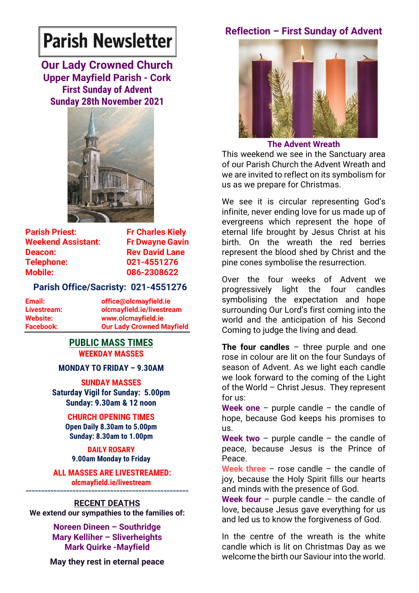# **Parish Newsletter**

**Our Lady Crowned Church Upper Mayfield Parish - Cork First Sunday of Advent Sunday 28th November 2021**



**Parish Priest:** Fr Charles Kiely **Weekend Assistant: Fr Dwayne Gavin Deacon:** Rev David Lane **Telephone: 021-4551276 Mobile: 086-2308622** 

# **Parish Office/Sacristy: 021-4551276**

| Email:           | office@olcmayfield.ie            |
|------------------|----------------------------------|
| Livestream:      | olcmayfield.ie/livestream        |
| Website:         | www.olcmayfield.ie               |
| <b>Facebook:</b> | <b>Our Lady Crowned Mayfield</b> |

# **PUBLIC MASS TIMES WEEKDAY MASSES**

**MONDAY TO FRIDAY – 9.30AM**

**SUNDAY MASSES Saturday Vigil for Sunday: 5.00pm Sunday: 9.30am & 12 noon**

# **CHURCH OPENING TIMES**

**Open Daily 8.30am to 5.00pm Sunday: 8.30am to 1.00pm** 

**DAILY ROSARY 9.00am Monday to Friday**

**ALL MASSES ARE LIVESTREAMED: olcmayfield.ie/livestream**

# **~~~~~~~~~~~~~~~~~~~~~~~~~~~~~~~~~~~~~~~~~~~~~~~~~~~~ RECENT DEATHS**

**We extend our sympathies to the families of:**

**Noreen Dineen – Southridge Mary Kelliher – Sliverheights Mark Quirke -Mayfield**

**May they rest in eternal peace**

# **Reflection – First Sunday of Advent**



**The Advent Wreath**

This weekend we see in the Sanctuary area of our Parish Church the Advent Wreath and we are invited to reflect on its symbolism for us as we prepare for Christmas.

We see it is circular representing God's infinite, never ending love for us made up of evergreens which represent the hope of eternal life brought by Jesus Christ at his birth. On the wreath the red berries represent the blood shed by Christ and the pine cones symbolise the resurrection.

Over the four weeks of Advent we progressively light the four candles symbolising the expectation and hope surrounding Our Lord's first coming into the world and the anticipation of his Second Coming to judge the living and dead.

**The four candles** – three purple and one rose in colour are lit on the four Sundays of season of Advent. As we light each candle we look forward to the coming of the Light of the World – Christ Jesus. They represent for us:

**Week one** – purple candle – the candle of hope, because God keeps his promises to us.

**Week two** – purple candle – the candle of peace, because Jesus is the Prince of Peace.

**Week three** – rose candle – the candle of joy, because the Holy Spirit fills our hearts and minds with the presence of God.

**Week four** – purple candle – the candle of love, because Jesus gave everything for us and led us to know the forgiveness of God.

In the centre of the wreath is the white candle which is lit on Christmas Day as we welcome the birth our Saviour into the world.